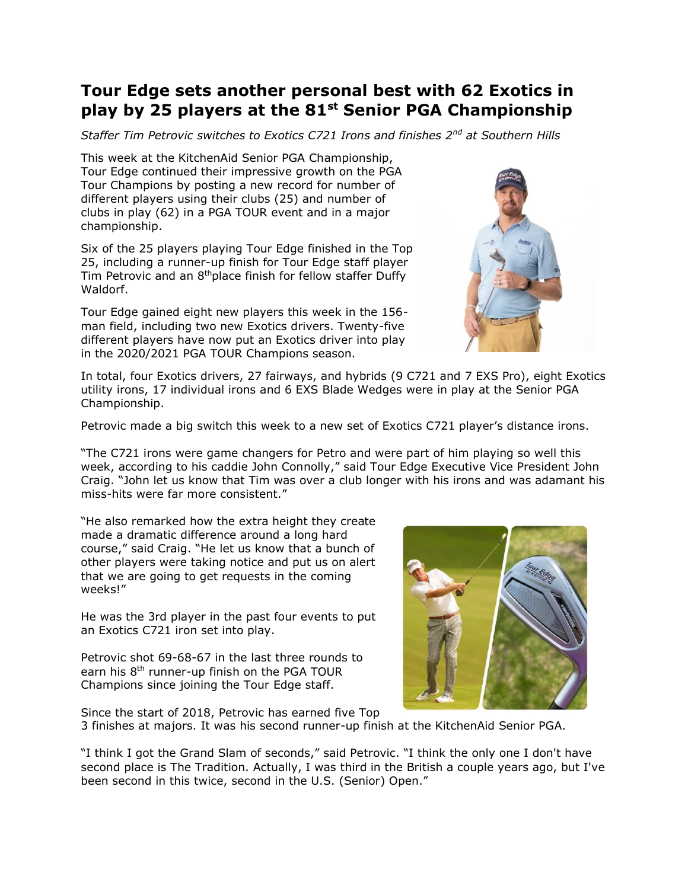## **Tour Edge sets another personal best with 62 Exotics in play by 25 players at the 81st Senior PGA Championship**

*Staffer Tim Petrovic switches to Exotics C721 Irons and finishes 2nd at Southern Hills*

This week at the KitchenAid Senior PGA Championship, Tour Edge continued their impressive growth on the PGA Tour Champions by posting a new record for number of different players using their clubs (25) and number of clubs in play (62) in a PGA TOUR event and in a major championship.

Six of the 25 players playing Tour Edge finished in the Top 25, including a runner-up finish for Tour Edge staff player Tim Petrovic and an 8<sup>th</sup>place finish for fellow staffer Duffy Waldorf.

Tour Edge gained eight new players this week in the 156 man field, including two new Exotics drivers. Twenty-five different players have now put an Exotics driver into play in the 2020/2021 PGA TOUR Champions season.



In total, four Exotics drivers, 27 fairways, and hybrids (9 C721 and 7 EXS Pro), eight Exotics utility irons, 17 individual irons and 6 EXS Blade Wedges were in play at the Senior PGA Championship.

Petrovic made a big switch this week to a new set of Exotics C721 player's distance irons.

"The C721 irons were game changers for Petro and were part of him playing so well this week, according to his caddie John Connolly," said Tour Edge Executive Vice President John Craig. "John let us know that Tim was over a club longer with his irons and was adamant his miss-hits were far more consistent."

"He also remarked how the extra height they create made a dramatic difference around a long hard course," said Craig. "He let us know that a bunch of other players were taking notice and put us on alert that we are going to get requests in the coming weeks!"

He was the 3rd player in the past four events to put an Exotics C721 iron set into play.

Petrovic shot 69-68-67 in the last three rounds to earn his 8<sup>th</sup> runner-up finish on the PGA TOUR Champions since joining the Tour Edge staff.



Since the start of 2018, Petrovic has earned five Top 3 finishes at majors. It was his second runner-up finish at the KitchenAid Senior PGA.

"I think I got the Grand Slam of seconds," said Petrovic. "I think the only one I don't have second place is The Tradition. Actually, I was third in the British a couple years ago, but I've been second in this twice, second in the U.S. (Senior) Open."